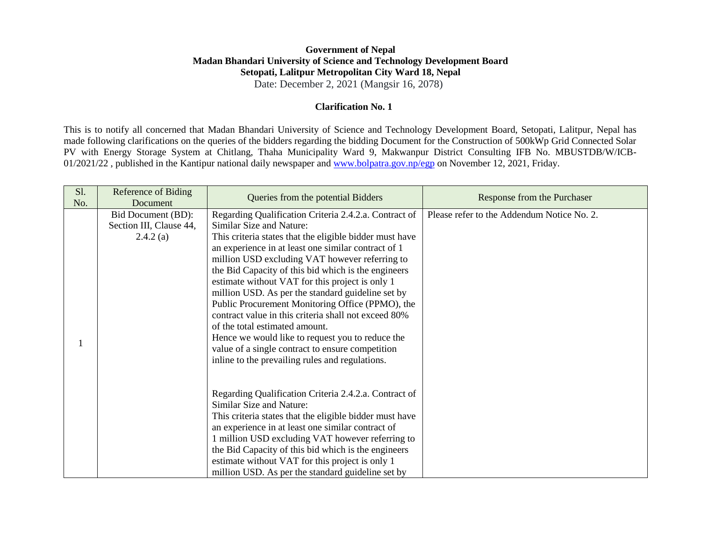## **Government of Nepal Madan Bhandari University of Science and Technology Development Board Setopati, Lalitpur Metropolitan City Ward 18, Nepal**

Date: December 2, 2021 (Mangsir 16, 2078)

## **Clarification No. 1**

This is to notify all concerned that Madan Bhandari University of Science and Technology Development Board, Setopati, Lalitpur, Nepal has made following clarifications on the queries of the bidders regarding the bidding Document for the Construction of 500kWp Grid Connected Solar PV with Energy Storage System at Chitlang, Thaha Municipality Ward 9, Makwanpur District Consulting IFB No. MBUSTDB/W/ICB-01/2021/22 , published in the Kantipur national daily newspaper and [www.bolpatra.gov.np/egp](http://www.bolpatra.gov.np/egp) on November 12, 2021, Friday.

| S1.<br>No. | <b>Reference of Biding</b><br>Document                    | Queries from the potential Bidders                                                                                                                                                                                                                                                                                                                                                                                                                                                                                                                                                                                                                                                                                            | Response from the Purchaser                |
|------------|-----------------------------------------------------------|-------------------------------------------------------------------------------------------------------------------------------------------------------------------------------------------------------------------------------------------------------------------------------------------------------------------------------------------------------------------------------------------------------------------------------------------------------------------------------------------------------------------------------------------------------------------------------------------------------------------------------------------------------------------------------------------------------------------------------|--------------------------------------------|
|            | Bid Document (BD):<br>Section III, Clause 44,<br>2.4.2(a) | Regarding Qualification Criteria 2.4.2.a. Contract of<br>Similar Size and Nature:<br>This criteria states that the eligible bidder must have<br>an experience in at least one similar contract of 1<br>million USD excluding VAT however referring to<br>the Bid Capacity of this bid which is the engineers<br>estimate without VAT for this project is only 1<br>million USD. As per the standard guideline set by<br>Public Procurement Monitoring Office (PPMO), the<br>contract value in this criteria shall not exceed 80%<br>of the total estimated amount.<br>Hence we would like to request you to reduce the<br>value of a single contract to ensure competition<br>inline to the prevailing rules and regulations. | Please refer to the Addendum Notice No. 2. |
|            |                                                           | Regarding Qualification Criteria 2.4.2.a. Contract of<br>Similar Size and Nature:<br>This criteria states that the eligible bidder must have<br>an experience in at least one similar contract of<br>1 million USD excluding VAT however referring to<br>the Bid Capacity of this bid which is the engineers<br>estimate without VAT for this project is only 1<br>million USD. As per the standard guideline set by                                                                                                                                                                                                                                                                                                          |                                            |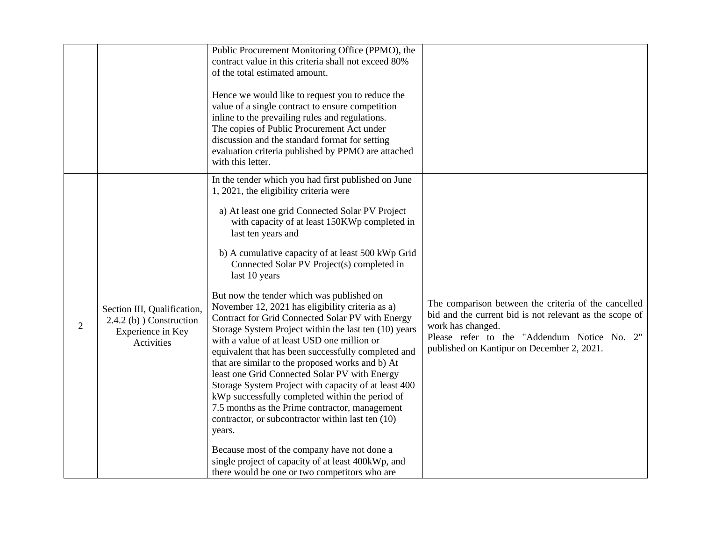|   |                                                                                                | Public Procurement Monitoring Office (PPMO), the<br>contract value in this criteria shall not exceed 80%<br>of the total estimated amount.<br>Hence we would like to request you to reduce the<br>value of a single contract to ensure competition<br>inline to the prevailing rules and regulations.<br>The copies of Public Procurement Act under<br>discussion and the standard format for setting<br>evaluation criteria published by PPMO are attached<br>with this letter.                                                                                                                                                                                                                                                                                                                                                                                                                                                                                                                                                                                                                                                                       |                                                                                                                                                                                                                                   |
|---|------------------------------------------------------------------------------------------------|--------------------------------------------------------------------------------------------------------------------------------------------------------------------------------------------------------------------------------------------------------------------------------------------------------------------------------------------------------------------------------------------------------------------------------------------------------------------------------------------------------------------------------------------------------------------------------------------------------------------------------------------------------------------------------------------------------------------------------------------------------------------------------------------------------------------------------------------------------------------------------------------------------------------------------------------------------------------------------------------------------------------------------------------------------------------------------------------------------------------------------------------------------|-----------------------------------------------------------------------------------------------------------------------------------------------------------------------------------------------------------------------------------|
| 2 | Section III, Qualification,<br>$2.4.2$ (b) $)$ Construction<br>Experience in Key<br>Activities | In the tender which you had first published on June<br>1, 2021, the eligibility criteria were<br>a) At least one grid Connected Solar PV Project<br>with capacity of at least 150KWp completed in<br>last ten years and<br>b) A cumulative capacity of at least 500 kWp Grid<br>Connected Solar PV Project(s) completed in<br>last 10 years<br>But now the tender which was published on<br>November 12, 2021 has eligibility criteria as a)<br>Contract for Grid Connected Solar PV with Energy<br>Storage System Project within the last ten (10) years<br>with a value of at least USD one million or<br>equivalent that has been successfully completed and<br>that are similar to the proposed works and b) At<br>least one Grid Connected Solar PV with Energy<br>Storage System Project with capacity of at least 400<br>kWp successfully completed within the period of<br>7.5 months as the Prime contractor, management<br>contractor, or subcontractor within last ten (10)<br>years.<br>Because most of the company have not done a<br>single project of capacity of at least 400kWp, and<br>there would be one or two competitors who are | The comparison between the criteria of the cancelled<br>bid and the current bid is not relevant as the scope of<br>work has changed.<br>Please refer to the "Addendum Notice No. 2"<br>published on Kantipur on December 2, 2021. |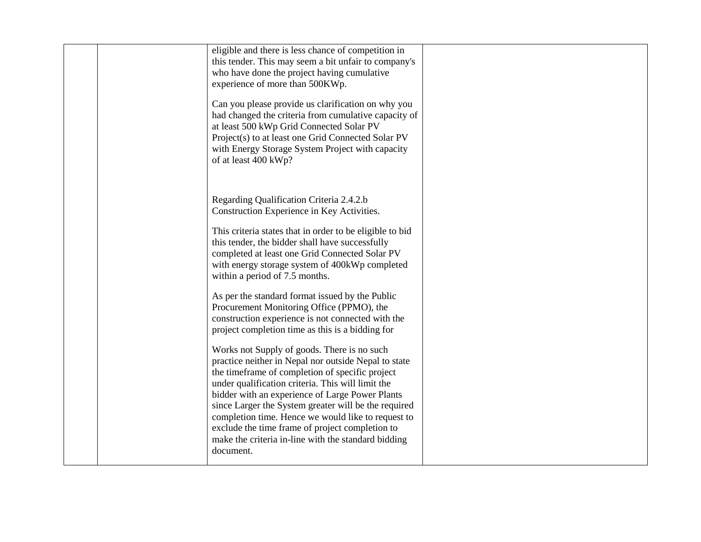| eligible and there is less chance of competition in<br>this tender. This may seem a bit unfair to company's<br>who have done the project having cumulative<br>experience of more than 500KWp.<br>Can you please provide us clarification on why you                                                                                                                                                                                                                                                 |  |
|-----------------------------------------------------------------------------------------------------------------------------------------------------------------------------------------------------------------------------------------------------------------------------------------------------------------------------------------------------------------------------------------------------------------------------------------------------------------------------------------------------|--|
| had changed the criteria from cumulative capacity of<br>at least 500 kWp Grid Connected Solar PV<br>Project(s) to at least one Grid Connected Solar PV<br>with Energy Storage System Project with capacity<br>of at least 400 kWp?                                                                                                                                                                                                                                                                  |  |
| Regarding Qualification Criteria 2.4.2.b<br>Construction Experience in Key Activities.                                                                                                                                                                                                                                                                                                                                                                                                              |  |
| This criteria states that in order to be eligible to bid<br>this tender, the bidder shall have successfully<br>completed at least one Grid Connected Solar PV<br>with energy storage system of 400kWp completed<br>within a period of 7.5 months.                                                                                                                                                                                                                                                   |  |
| As per the standard format issued by the Public<br>Procurement Monitoring Office (PPMO), the<br>construction experience is not connected with the<br>project completion time as this is a bidding for                                                                                                                                                                                                                                                                                               |  |
| Works not Supply of goods. There is no such<br>practice neither in Nepal nor outside Nepal to state<br>the timeframe of completion of specific project<br>under qualification criteria. This will limit the<br>bidder with an experience of Large Power Plants<br>since Larger the System greater will be the required<br>completion time. Hence we would like to request to<br>exclude the time frame of project completion to<br>make the criteria in-line with the standard bidding<br>document. |  |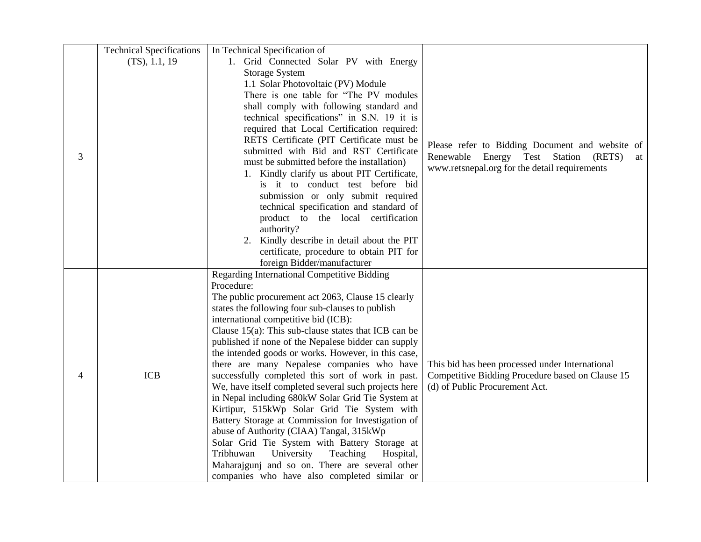|                | <b>Technical Specifications</b> | In Technical Specification of                           |                                                  |
|----------------|---------------------------------|---------------------------------------------------------|--------------------------------------------------|
|                | (TS), 1.1, 19                   | 1. Grid Connected Solar PV with Energy                  |                                                  |
|                |                                 | <b>Storage System</b>                                   |                                                  |
|                |                                 | 1.1 Solar Photovoltaic (PV) Module                      |                                                  |
|                |                                 | There is one table for "The PV modules"                 |                                                  |
|                |                                 | shall comply with following standard and                |                                                  |
|                |                                 | technical specifications" in S.N. 19 it is              |                                                  |
|                |                                 | required that Local Certification required:             |                                                  |
|                |                                 | RETS Certificate (PIT Certificate must be               |                                                  |
|                |                                 | submitted with Bid and RST Certificate                  | Please refer to Bidding Document and website of  |
| 3              |                                 | must be submitted before the installation)              | Renewable Energy Test Station (RETS)<br>at       |
|                |                                 | 1. Kindly clarify us about PIT Certificate,             | www.retsnepal.org for the detail requirements    |
|                |                                 | is it to conduct test before bid                        |                                                  |
|                |                                 | submission or only submit required                      |                                                  |
|                |                                 | technical specification and standard of                 |                                                  |
|                |                                 | product to the local certification                      |                                                  |
|                |                                 | authority?                                              |                                                  |
|                |                                 | 2. Kindly describe in detail about the PIT              |                                                  |
|                |                                 | certificate, procedure to obtain PIT for                |                                                  |
|                |                                 | foreign Bidder/manufacturer                             |                                                  |
|                |                                 | Regarding International Competitive Bidding             |                                                  |
|                |                                 | Procedure:                                              |                                                  |
|                |                                 | The public procurement act 2063, Clause 15 clearly      |                                                  |
|                |                                 | states the following four sub-clauses to publish        |                                                  |
|                |                                 | international competitive bid (ICB):                    |                                                  |
|                |                                 | Clause $15(a)$ : This sub-clause states that ICB can be |                                                  |
|                |                                 | published if none of the Nepalese bidder can supply     |                                                  |
|                |                                 | the intended goods or works. However, in this case,     |                                                  |
|                |                                 | there are many Nepalese companies who have              | This bid has been processed under International  |
| $\overline{4}$ | <b>ICB</b>                      | successfully completed this sort of work in past.       | Competitive Bidding Procedure based on Clause 15 |
|                |                                 | We, have itself completed several such projects here    | (d) of Public Procurement Act.                   |
|                |                                 | in Nepal including 680kW Solar Grid Tie System at       |                                                  |
|                |                                 | Kirtipur, 515kWp Solar Grid Tie System with             |                                                  |
|                |                                 | Battery Storage at Commission for Investigation of      |                                                  |
|                |                                 | abuse of Authority (CIAA) Tangal, 315kWp                |                                                  |
|                |                                 | Solar Grid Tie System with Battery Storage at           |                                                  |
|                |                                 | Tribhuwan<br>University<br>Teaching<br>Hospital,        |                                                  |
|                |                                 | Maharajgunj and so on. There are several other          |                                                  |
|                |                                 | companies who have also completed similar or            |                                                  |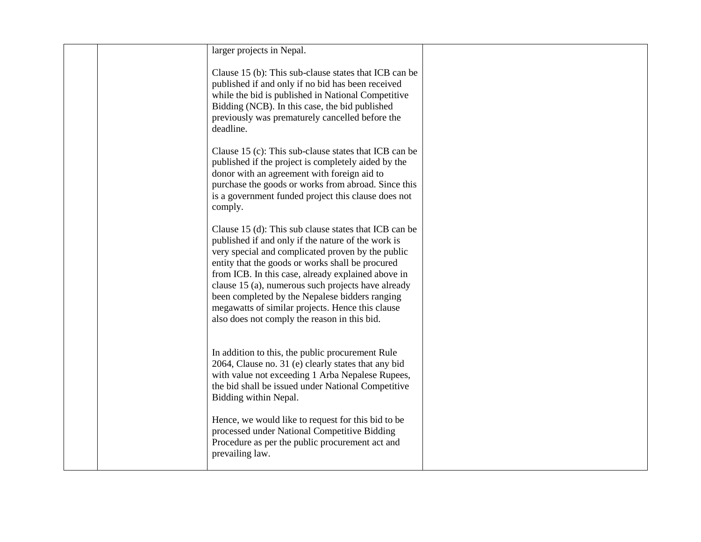| larger projects in Nepal.                                                                                                                                                                                                                                                                                                                                                                                                                                                              |  |
|----------------------------------------------------------------------------------------------------------------------------------------------------------------------------------------------------------------------------------------------------------------------------------------------------------------------------------------------------------------------------------------------------------------------------------------------------------------------------------------|--|
| Clause 15 (b): This sub-clause states that ICB can be<br>published if and only if no bid has been received<br>while the bid is published in National Competitive<br>Bidding (NCB). In this case, the bid published<br>previously was prematurely cancelled before the<br>deadline.                                                                                                                                                                                                     |  |
| Clause 15 (c): This sub-clause states that ICB can be<br>published if the project is completely aided by the<br>donor with an agreement with foreign aid to<br>purchase the goods or works from abroad. Since this<br>is a government funded project this clause does not<br>comply.                                                                                                                                                                                                   |  |
| Clause 15 (d): This sub clause states that ICB can be<br>published if and only if the nature of the work is<br>very special and complicated proven by the public<br>entity that the goods or works shall be procured<br>from ICB. In this case, already explained above in<br>clause 15 (a), numerous such projects have already<br>been completed by the Nepalese bidders ranging<br>megawatts of similar projects. Hence this clause<br>also does not comply the reason in this bid. |  |
| In addition to this, the public procurement Rule<br>2064, Clause no. 31 (e) clearly states that any bid<br>with value not exceeding 1 Arba Nepalese Rupees,<br>the bid shall be issued under National Competitive<br>Bidding within Nepal.                                                                                                                                                                                                                                             |  |
| Hence, we would like to request for this bid to be<br>processed under National Competitive Bidding<br>Procedure as per the public procurement act and<br>prevailing law.                                                                                                                                                                                                                                                                                                               |  |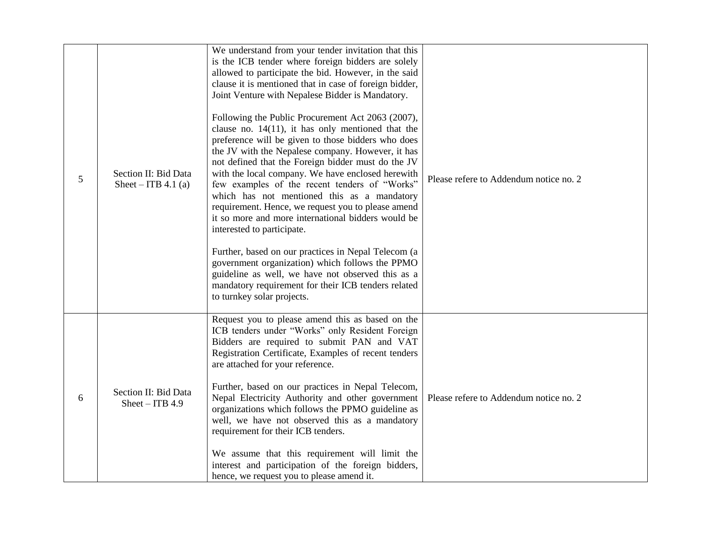| 5 | Section II: Bid Data<br>Sheet – ITB 4.1 (a) | We understand from your tender invitation that this<br>is the ICB tender where foreign bidders are solely<br>allowed to participate the bid. However, in the said<br>clause it is mentioned that in case of foreign bidder,<br>Joint Venture with Nepalese Bidder is Mandatory.<br>Following the Public Procurement Act 2063 (2007),<br>clause no. $14(11)$ , it has only mentioned that the<br>preference will be given to those bidders who does<br>the JV with the Nepalese company. However, it has<br>not defined that the Foreign bidder must do the JV<br>with the local company. We have enclosed herewith<br>few examples of the recent tenders of "Works"<br>which has not mentioned this as a mandatory<br>requirement. Hence, we request you to please amend<br>it so more and more international bidders would be<br>interested to participate.<br>Further, based on our practices in Nepal Telecom (a<br>government organization) which follows the PPMO<br>guideline as well, we have not observed this as a<br>mandatory requirement for their ICB tenders related<br>to turnkey solar projects. | Please refere to Addendum notice no. 2 |
|---|---------------------------------------------|------------------------------------------------------------------------------------------------------------------------------------------------------------------------------------------------------------------------------------------------------------------------------------------------------------------------------------------------------------------------------------------------------------------------------------------------------------------------------------------------------------------------------------------------------------------------------------------------------------------------------------------------------------------------------------------------------------------------------------------------------------------------------------------------------------------------------------------------------------------------------------------------------------------------------------------------------------------------------------------------------------------------------------------------------------------------------------------------------------------|----------------------------------------|
| 6 | Section II: Bid Data<br>$Sheet - ITB 4.9$   | Request you to please amend this as based on the<br>ICB tenders under "Works" only Resident Foreign<br>Bidders are required to submit PAN and VAT<br>Registration Certificate, Examples of recent tenders<br>are attached for your reference.<br>Further, based on our practices in Nepal Telecom,<br>Nepal Electricity Authority and other government<br>organizations which follows the PPMO guideline as<br>well, we have not observed this as a mandatory<br>requirement for their ICB tenders.<br>We assume that this requirement will limit the<br>interest and participation of the foreign bidders,<br>hence, we request you to please amend it.                                                                                                                                                                                                                                                                                                                                                                                                                                                         | Please refere to Addendum notice no. 2 |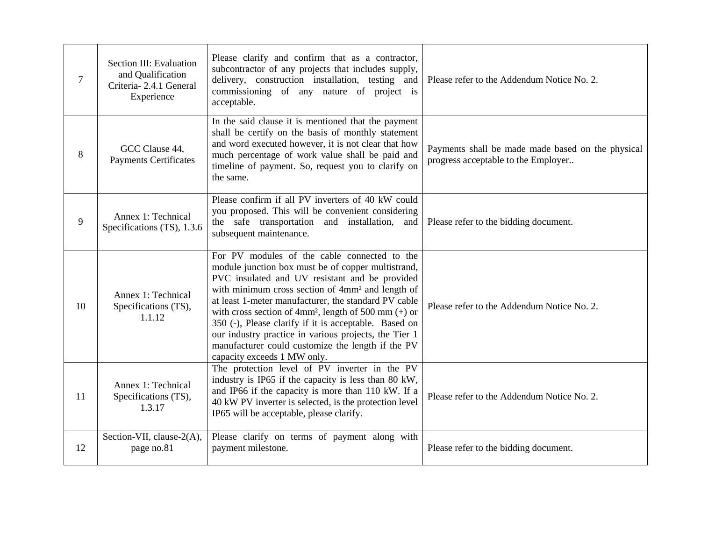| $\overline{7}$ | Section III: Evaluation<br>and Qualification<br>Criteria-2.4.1 General<br>Experience | Please clarify and confirm that as a contractor,<br>subcontractor of any projects that includes supply,<br>delivery, construction installation, testing and<br>commissioning of any nature of project is<br>acceptable.                                                                                                                                                                                                                                                                                                                                  | Please refer to the Addendum Notice No. 2.                                               |
|----------------|--------------------------------------------------------------------------------------|----------------------------------------------------------------------------------------------------------------------------------------------------------------------------------------------------------------------------------------------------------------------------------------------------------------------------------------------------------------------------------------------------------------------------------------------------------------------------------------------------------------------------------------------------------|------------------------------------------------------------------------------------------|
| 8              | GCC Clause 44,<br><b>Payments Certificates</b>                                       | In the said clause it is mentioned that the payment<br>shall be certify on the basis of monthly statement<br>and word executed however, it is not clear that how<br>much percentage of work value shall be paid and<br>timeline of payment. So, request you to clarify on<br>the same.                                                                                                                                                                                                                                                                   | Payments shall be made made based on the physical<br>progress acceptable to the Employer |
| 9              | Annex 1: Technical<br>Specifications (TS), 1.3.6                                     | Please confirm if all PV inverters of 40 kW could<br>you proposed. This will be convenient considering<br>the safe transportation and installation, and<br>subsequent maintenance.                                                                                                                                                                                                                                                                                                                                                                       | Please refer to the bidding document.                                                    |
| 10             | Annex 1: Technical<br>Specifications (TS),<br>1.1.12                                 | For PV modules of the cable connected to the<br>module junction box must be of copper multistrand,<br>PVC insulated and UV resistant and be provided<br>with minimum cross section of 4mm <sup>2</sup> and length of<br>at least 1-meter manufacturer, the standard PV cable<br>with cross section of 4mm <sup>2</sup> , length of 500 mm $(+)$ or<br>350 (-), Please clarify if it is acceptable. Based on<br>our industry practice in various projects, the Tier 1<br>manufacturer could customize the length if the PV<br>capacity exceeds 1 MW only. | Please refer to the Addendum Notice No. 2.                                               |
| 11             | Annex 1: Technical<br>Specifications (TS),<br>1.3.17                                 | The protection level of PV inverter in the PV<br>industry is IP65 if the capacity is less than 80 kW,<br>and IP66 if the capacity is more than 110 kW. If a<br>40 kW PV inverter is selected, is the protection level<br>IP65 will be acceptable, please clarify.                                                                                                                                                                                                                                                                                        | Please refer to the Addendum Notice No. 2.                                               |
| 12             | Section-VII, clause-2(A),<br>page no.81                                              | Please clarify on terms of payment along with<br>payment milestone.                                                                                                                                                                                                                                                                                                                                                                                                                                                                                      | Please refer to the bidding document.                                                    |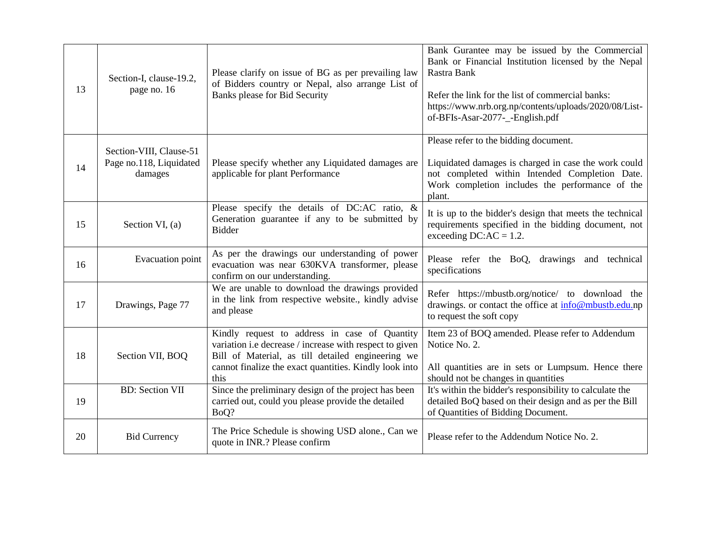| 13 | Section-I, clause-19.2,<br>page no. 16                        | Please clarify on issue of BG as per prevailing law<br>of Bidders country or Nepal, also arrange List of<br><b>Banks please for Bid Security</b>                                                                                | Bank Gurantee may be issued by the Commercial<br>Bank or Financial Institution licensed by the Nepal<br>Rastra Bank<br>Refer the link for the list of commercial banks:<br>https://www.nrb.org.np/contents/uploads/2020/08/List-<br>of-BFIs-Asar-2077-_-English.pdf |
|----|---------------------------------------------------------------|---------------------------------------------------------------------------------------------------------------------------------------------------------------------------------------------------------------------------------|---------------------------------------------------------------------------------------------------------------------------------------------------------------------------------------------------------------------------------------------------------------------|
| 14 | Section-VIII, Clause-51<br>Page no.118, Liquidated<br>damages | Please specify whether any Liquidated damages are<br>applicable for plant Performance                                                                                                                                           | Please refer to the bidding document.<br>Liquidated damages is charged in case the work could<br>not completed within Intended Completion Date.<br>Work completion includes the performance of the<br>plant.                                                        |
| 15 | Section VI, (a)                                               | Please specify the details of DC:AC ratio, &<br>Generation guarantee if any to be submitted by<br><b>Bidder</b>                                                                                                                 | It is up to the bidder's design that meets the technical<br>requirements specified in the bidding document, not<br>exceeding $DC:AC = 1.2$ .                                                                                                                        |
| 16 | Evacuation point                                              | As per the drawings our understanding of power<br>evacuation was near 630KVA transformer, please<br>confirm on our understanding.                                                                                               | Please refer the BoQ, drawings and technical<br>specifications                                                                                                                                                                                                      |
| 17 | Drawings, Page 77                                             | We are unable to download the drawings provided<br>in the link from respective website., kindly advise<br>and please                                                                                                            | Refer https://mbustb.org/notice/ to download the<br>drawings. or contact the office at info@mbustb.edu.np<br>to request the soft copy                                                                                                                               |
| 18 | Section VII, BOQ                                              | Kindly request to address in case of Quantity<br>variation i.e decrease / increase with respect to given<br>Bill of Material, as till detailed engineering we<br>cannot finalize the exact quantities. Kindly look into<br>this | Item 23 of BOQ amended. Please refer to Addendum<br>Notice No. 2.<br>All quantities are in sets or Lumpsum. Hence there<br>should not be changes in quantities                                                                                                      |
| 19 | <b>BD:</b> Section VII                                        | Since the preliminary design of the project has been<br>carried out, could you please provide the detailed<br>BoQ?                                                                                                              | It's within the bidder's responsibility to calculate the<br>detailed BoQ based on their design and as per the Bill<br>of Quantities of Bidding Document.                                                                                                            |
| 20 | <b>Bid Currency</b>                                           | The Price Schedule is showing USD alone., Can we<br>quote in INR.? Please confirm                                                                                                                                               | Please refer to the Addendum Notice No. 2.                                                                                                                                                                                                                          |